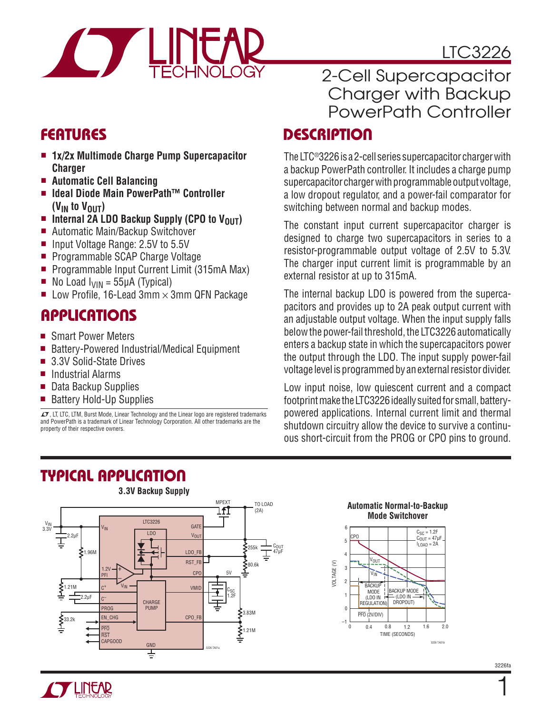

- <sup>n</sup> **1x/2x Multimode Charge Pump Supercapacitor Charger**
- <sup>n</sup> **Automatic Cell Balancing**
- Ideal Diode Main PowerPath<sup>™</sup> Controller  **(VIN to VOUT)**
- n Internal 2A LDO Backup Supply (CPO to V<sub>OUT</sub>)
- Automatic Main/Backup Switchover
- Input Voltage Range: 2.5V to 5.5V
- Programmable SCAP Charge Voltage
- <sup>n</sup> Programmable Input Current Limit (315mA Max)
- No Load  $I_{VIN} = 55\mu A$  (Typical)
- **DE Low Profile, 16-Lead 3mm**  $\times$  **3mm QFN Package**

### **APPLICATIONS**

- Smart Power Meters
- Battery-Powered Industrial/Medical Equipment
- 3.3V Solid-State Drives
- **n** Industrial Alarms
- Data Backup Supplies
- Battery Hold-Up Supplies

 $\overline{\mathcal{L}^{\bullet}}$ , LT, LTC, LTM, Burst Mode, Linear Technology and the Linear logo are registered trademarks and PowerPath is a trademark of Linear Technology Corporation. All other trademarks are the property of their respective owners.

# 2-Cell Supercapacitor Charger with Backup PowerPath Controller

### **FEATURES DESCRIPTION**

The LTC®3226 is a 2-cell series supercapacitor charger with a backup PowerPath controller. It includes a charge pump supercapacitor charger with programmable output voltage, a low dropout regulator, and a power-fail comparator for switching between normal and backup modes.

The constant input current supercapacitor charger is designed to charge two supercapacitors in series to a resistor-programmable output voltage of 2.5V to 5.3V. The charger input current limit is programmable by an external resistor at up to 315mA.

The internal backup LDO is powered from the supercapacitors and provides up to 2A peak output current with an adjustable output voltage. When the input supply falls below the power-fail threshold, the LTC3226 automatically enters a backup state in which the supercapacitors power the output through the LDO. The input supply power-fail voltage level is programmed by an external resistor divider.

Low input noise, low quiescent current and a compact footprint make the LTC3226 ideally suited for small, batterypowered applications. Internal current limit and thermal shutdown circuitry allow the device to survive a continuous short-circuit from the PROG or CPO pins to ground.







1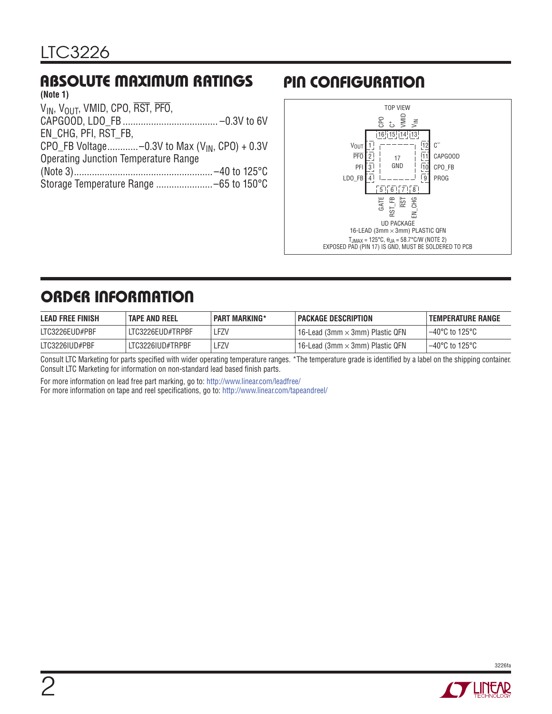#### **ABSOLUTE MAXIMUM RATINGS (Note 1)**

| 111010111                                         |  |
|---------------------------------------------------|--|
| VIN, VOLIT, VMID, CPO, RST, PFO,                  |  |
|                                                   |  |
| EN CHG, PFI, RST FB,                              |  |
| CPO_FB Voltage-0.3V to Max $(V_{IN}, CPO) + 0.3V$ |  |
| <b>Operating Junction Temperature Range</b>       |  |
|                                                   |  |
|                                                   |  |
|                                                   |  |

# **PIN CONFIGURATION**



# **ORDER INFORMATION**

| <b>LEAD FREE FINISH</b> | <b>TAPE AND REEL</b> | <b>PART MARKING*</b> | PACKAGE DESCRIPTION                    | <b>TEMPERATURE RANGE</b>            |
|-------------------------|----------------------|----------------------|----------------------------------------|-------------------------------------|
| LTC3226EUD#PBF          | LTC3226EUD#TRPBF     | _FZV                 | 16-Lead (3mm $\times$ 3mm) Plastic QFN | 1–40°C to 125°C                     |
| LTC3226IUD#PBF          | LTC3226IUD#TRPBF     | .FZV                 | 16-Lead (3mm $\times$ 3mm) Plastic QFN | $-40^{\circ}$ C to 125 $^{\circ}$ C |

Consult LTC Marketing for parts specified with wider operating temperature ranges. \*The temperature grade is identified by a label on the shipping container. Consult LTC Marketing for information on non-standard lead based finish parts.

For more information on lead free part marking, go to: http://www.linear.com/leadfree/ For more information on tape and reel specifications, go to: http://www.linear.com/tapeandreel/

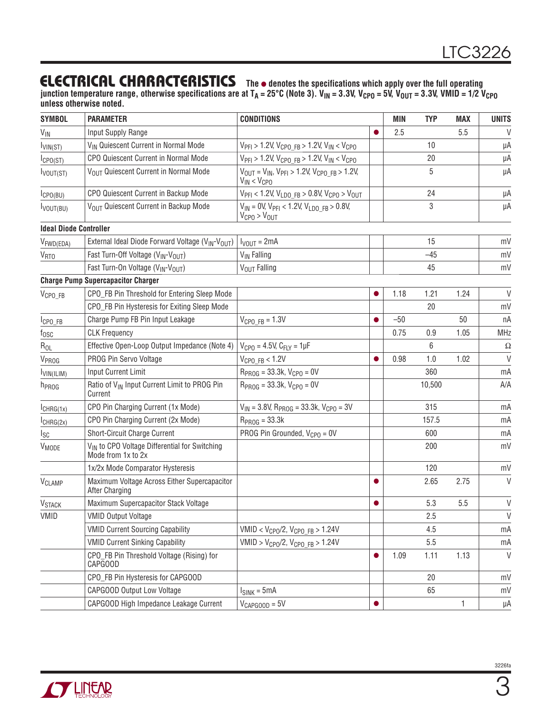### **ELECTRICAL CHARACTERISTICS** The  $\bullet$  denotes the specifications which apply over the full operating

junction temperature range, otherwise specifications are at T<sub>A</sub> = 25°C (Note 3). V<sub>IN</sub> = 3.3V, V<sub>CPO</sub> = 5V, V<sub>OUT</sub> = 3.3V, VMID = 1/2 V<sub>CPO</sub> **unless otherwise noted.**

| <b>SYMBOL</b>                 | <b>PARAMETER</b>                                                                | <b>CONDITIONS</b>                                                                                                   |           | <b>MIN</b> | <b>TYP</b> | <b>MAX</b> | <b>UNITS</b> |
|-------------------------------|---------------------------------------------------------------------------------|---------------------------------------------------------------------------------------------------------------------|-----------|------------|------------|------------|--------------|
| $V_{\text{IN}}$               | Input Supply Range                                                              |                                                                                                                     |           | 2.5        |            | 5.5        | V            |
| $I_{VIN(ST)}$                 | V <sub>IN</sub> Quiescent Current in Normal Mode                                | $V_{\text{PFI}} > 1.2$ V, $V_{\text{CPO FB}} > 1.2$ V, $V_{\text{IN}} < V_{\text{CPO}}$                             |           |            | 10         |            | μA           |
| I <sub>CPO</sub> (ST)         | CPO Quiescent Current in Normal Mode                                            | $V_{\text{PFI}} > 1.2$ V, $V_{\text{CPO FB}} > 1.2$ V, $V_{\text{IN}} < V_{\text{CPO}}$                             |           |            | 20         |            | μA           |
| Ivout(ST)                     | VOUT Quiescent Current in Normal Mode                                           | $V_{\text{OUT}} = V_{\text{IN}}$ , $V_{\text{PFI}} > 1.2 V$ , $V_{\text{CPO FB}} > 1.2 V$ ,<br>$V_{IN}$ < $V_{CPO}$ |           |            | 5          |            | μA           |
| $I_{\text{CPO(BU)}}$          | CPO Quiescent Current in Backup Mode                                            | $V_{\text{PFI}}$ < 1.2V, $V_{\text{LDO FB}}$ > 0.8V, $V_{\text{CPO}}$ > $V_{\text{OUT}}$                            |           |            | 24         |            | μA           |
| $I_{VOUT(BU)}$                | VOUT Quiescent Current in Backup Mode                                           | $V_{1N} = 0V$ , $V_{PFI} < 1.2V$ , $V_{LDO}$ FB > 0.8V,<br>$V_{CPO}$ > $V_{OUT}$                                    |           |            | 3          |            | μA           |
| <b>Ideal Diode Controller</b> |                                                                                 |                                                                                                                     |           |            |            |            |              |
| V <sub>FWD(EDA)</sub>         | External Ideal Diode Forward Voltage (V <sub>IN</sub> -V <sub>OUT</sub> )       | $I_{VOUT} = 2mA$                                                                                                    |           |            | 15         |            | mV           |
| <b>V<sub>RTO</sub></b>        | Fast Turn-Off Voltage (V <sub>IN</sub> -V <sub>OUT</sub> )                      | V <sub>IN</sub> Falling                                                                                             |           |            | $-45$      |            | mV           |
|                               | Fast Turn-On Voltage (V <sub>IN</sub> -V <sub>OUT</sub> )                       | V <sub>OUT</sub> Falling                                                                                            |           |            | 45         |            | mV           |
|                               | <b>Charge Pump Supercapacitor Charger</b>                                       |                                                                                                                     |           |            |            |            |              |
| $V_{\text{CPO\_FB}}$          | CPO_FB Pin Threshold for Entering Sleep Mode                                    |                                                                                                                     |           | 1.18       | 1.21       | 1.24       | $\vee$       |
|                               | CPO_FB Pin Hysteresis for Exiting Sleep Mode                                    |                                                                                                                     |           |            | 20         |            | mV           |
| $ICP0_FB$                     | Charge Pump FB Pin Input Leakage                                                | $V_{CPOFB} = 1.3V$                                                                                                  | 0         | $-50$      |            | 50         | nA           |
| $f_{\rm OSC}$                 | <b>CLK Frequency</b>                                                            |                                                                                                                     |           | 0.75       | 0.9        | 1.05       | <b>MHz</b>   |
| $R_{OL}$                      | Effective Open-Loop Output Impedance (Note 4)                                   | $V_{CPO} = 4.5V$ , $C_{FLY} = 1 \mu F$                                                                              |           |            | 6          |            | $\Omega$     |
| VPROG                         | PROG Pin Servo Voltage                                                          | $V_{CPOFB}$ < 1.2V                                                                                                  |           | 0.98       | 1.0        | 1.02       | $\vee$       |
| VIN(ILIM)                     | <b>Input Current Limit</b>                                                      | $R_{PROG} = 33.3k, V_{CPO} = 0V$                                                                                    |           |            | 360        |            | mA           |
| h <sub>PROG</sub>             | Ratio of V <sub>IN</sub> Input Current Limit to PROG Pin<br>Current             | $R_{PROG} = 33.3k, V_{CPO} = 0V$                                                                                    |           |            | 10,500     |            | A/A          |
| $I_{CHRG(1x)}$                | CPO Pin Charging Current (1x Mode)                                              | $V_{IN}$ = 3.8V, R <sub>PROG</sub> = 33.3k, V <sub>CPO</sub> = 3V                                                   |           |            | 315        |            | mA           |
| $I_{CHRG(2x)}$                | CPO Pin Charging Current (2x Mode)                                              | $R_{PROG} = 33.3k$                                                                                                  |           |            | 157.5      |            | mA           |
| I <sub>SC</sub>               | Short-Circuit Charge Current                                                    | PROG Pin Grounded, $V_{CPO} = 0V$                                                                                   |           |            | 600        |            | mA           |
| $V_{MODE}$                    | V <sub>IN</sub> to CPO Voltage Differential for Switching<br>Mode from 1x to 2x |                                                                                                                     |           |            | 200        |            | mV           |
|                               | 1x/2x Mode Comparator Hysteresis                                                |                                                                                                                     |           |            | 120        |            | mV           |
| V <sub>CLAMP</sub>            | Maximum Voltage Across Either Supercapacitor<br><b>After Charging</b>           |                                                                                                                     |           |            | 2.65       | 2.75       | $\vee$       |
| <b>V<sub>STACK</sub></b>      | Maximum Supercapacitor Stack Voltage                                            |                                                                                                                     | $\bullet$ |            | 5.3        | 5.5        | V            |
| VMID                          | <b>VMID Output Voltage</b>                                                      |                                                                                                                     |           |            | 2.5        |            | V            |
|                               | <b>VMID Current Sourcing Capability</b>                                         | $VMD < V_{CPO}/2$ , $V_{CPO}$ FB > 1.24V                                                                            |           |            | 4.5        |            | mA           |
|                               | <b>VMID Current Sinking Capability</b>                                          | VMID > $V_{CPO}/2$ , $V_{CPO}$ FB > 1.24V                                                                           |           |            | 5.5        |            | mA           |
|                               | CPO_FB Pin Threshold Voltage (Rising) for<br>CAPGOOD                            |                                                                                                                     |           | 1.09       | 1.11       | 1.13       | $\vee$       |
|                               | CPO_FB Pin Hysteresis for CAPGOOD                                               |                                                                                                                     |           |            | 20         |            | mV           |
|                               | <b>CAPGOOD Output Low Voltage</b>                                               | $I_{SINK} = 5mA$                                                                                                    |           |            | 65         |            | mV           |
|                               | CAPGOOD High Impedance Leakage Current                                          | $V_{CAPGOOD} = 5V$                                                                                                  | $\bullet$ |            |            | 1          | μA           |

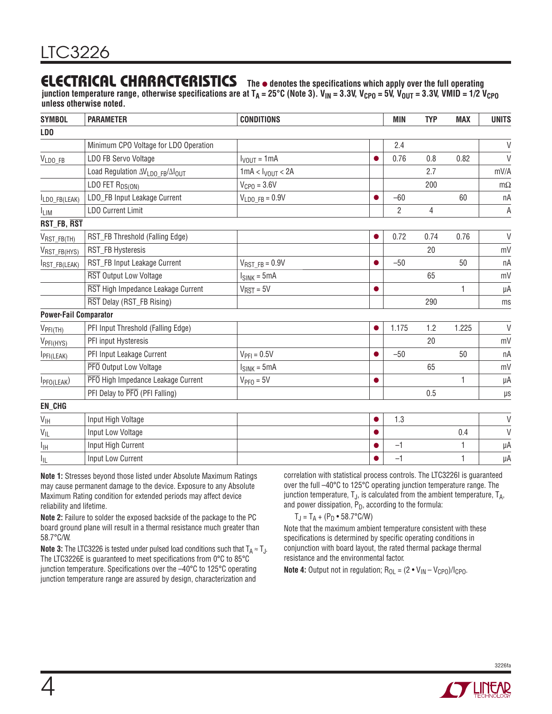### **ELECTRICAL CHARACTERISTICS** The  $\bullet$  denotes the specifications which apply over the full operating

junction temperature range, otherwise specifications are at T<sub>A</sub> = 25°C (Note 3). V<sub>IN</sub> = 3.3V, V<sub>CPO</sub> = 5V, V<sub>OUT</sub> = 3.3V, VMID = 1/2 V<sub>CPO</sub> **unless otherwise noted.**

| <b>SYMBOL</b>                    | <b>PARAMETER</b>                      | <b>CONDITIONS</b>                |           | <b>MIN</b>     | <b>TYP</b>     | <b>MAX</b>   | <b>UNITS</b> |
|----------------------------------|---------------------------------------|----------------------------------|-----------|----------------|----------------|--------------|--------------|
| LD <sub>0</sub>                  |                                       |                                  |           |                |                |              |              |
|                                  | Minimum CPO Voltage for LDO Operation |                                  |           | 2.4            |                |              | $\vee$       |
| VLDO_FB                          | LDO FB Servo Voltage                  | $I_{VOUT} = 1mA$                 |           | 0.76           | 0.8            | 0.82         | $\vee$       |
|                                  | Load Regulation AVLDO_FB/AlOUT        | 1mA < I <sub>VOUT</sub> < 2A     |           |                | 2.7            |              | mV/A         |
|                                  | LDO FET $R_{DS(ON)}$                  | $V_{CPO} = 3.6V$                 |           |                | 200            |              | $m\Omega$    |
| LDO_FB(LEAK)                     | LDO_FB Input Leakage Current          | $V_{LDOFB} = 0.9V$               |           | $-60$          |                | 60           | nA           |
| <b>ILIM</b>                      | <b>LDO Current Limit</b>              |                                  |           | $\overline{2}$ | $\overline{4}$ |              | Α            |
| RST_FB, RST                      |                                       |                                  |           |                |                |              |              |
| $V_{RST\_FB(TH)}$                | RST_FB Threshold (Falling Edge)       |                                  | $\bullet$ | 0.72           | 0.74           | 0.76         | $\vee$       |
| VRST_FB(HYS)                     | RST_FB Hysteresis                     |                                  |           |                | 20             |              | mV           |
| RST_FB(LEAK)                     | RST_FB Input Leakage Current          | $V_{RSTFB} = 0.9V$               |           | $-50$          |                | 50           | nA           |
|                                  | RST Output Low Voltage                | $I_{SINK} = 5mA$                 |           |                | 65             |              | mV           |
|                                  | RST High Impedance Leakage Current    | $V_{\overline{\text{RST}}} = 5V$ | $\bullet$ |                |                | 1            | $\mu A$      |
|                                  | RST Delay (RST_FB Rising)             |                                  |           |                | 290            |              | ms           |
| <b>Power-Fail Comparator</b>     |                                       |                                  |           |                |                |              |              |
| $V_{\text{PFI}(\underline{TH})}$ | PFI Input Threshold (Falling Edge)    |                                  | $\bullet$ | 1.175          | 1.2            | 1.225        | $\vee$       |
| VPFI(HYS)                        | PFI input Hysteresis                  |                                  |           |                | 20             |              | mV           |
| PFI(LEAK)                        | PFI Input Leakage Current             | $V_{\text{PFI}} = 0.5V$          |           | $-50$          |                | 50           | nA           |
|                                  | PFO Output Low Voltage                | $I_{SINK} = 5mA$                 |           |                | 65             |              | mV           |
| I <sub>PPO</sub> (LEAK)          | PFO High Impedance Leakage Current    | $VPF0 = 5V$                      | $\bullet$ |                |                | 1            | μA           |
|                                  | PFI Delay to PFO (PFI Falling)        |                                  |           |                | 0.5            |              | $\mu$ s      |
| EN_CHG                           |                                       |                                  |           |                |                |              |              |
| $\mathsf{V}_{\mathsf{IH}}$       | Input High Voltage                    |                                  | $\bullet$ | 1.3            |                |              | V            |
| $V_{ L}$                         | Input Low Voltage                     |                                  |           |                |                | 0.4          | V            |
| Iн                               | Input High Current                    |                                  |           | $-1$           |                | $\mathbf{1}$ | μA           |
| ΙL                               | Input Low Current                     |                                  |           | $-1$           |                | 1            | μA           |

**Note 1:** Stresses beyond those listed under Absolute Maximum Ratings may cause permanent damage to the device. Exposure to any Absolute Maximum Rating condition for extended periods may affect device reliability and lifetime.

**Note 2:** Failure to solder the exposed backside of the package to the PC board ground plane will result in a thermal resistance much greater than 58.7°C/W.

**Note 3:** The LTC3226 is tested under pulsed load conditions such that  $T_A \approx T_A$ . The LTC3226E is guaranteed to meet specifications from 0°C to 85°C junction temperature. Specifications over the –40°C to 125°C operating junction temperature range are assured by design, characterization and

correlation with statistical process controls. The LTC3226I is guaranteed over the full –40°C to 125°C operating junction temperature range. The junction temperature,  $T_J$ , is calculated from the ambient temperature,  $T_{A}$ , and power dissipation,  $P_D$ , according to the formula:

 $T_J = T_A + (P_D \cdot 58.7^{\circ}C/W)$ 

Note that the maximum ambient temperature consistent with these specifications is determined by specific operating conditions in conjunction with board layout, the rated thermal package thermal resistance and the environmental factor.

**Note 4:** Output not in regulation;  $R_{OL} = (2 \cdot V_{IN} - V_{CPO})/I_{CPO}$ .

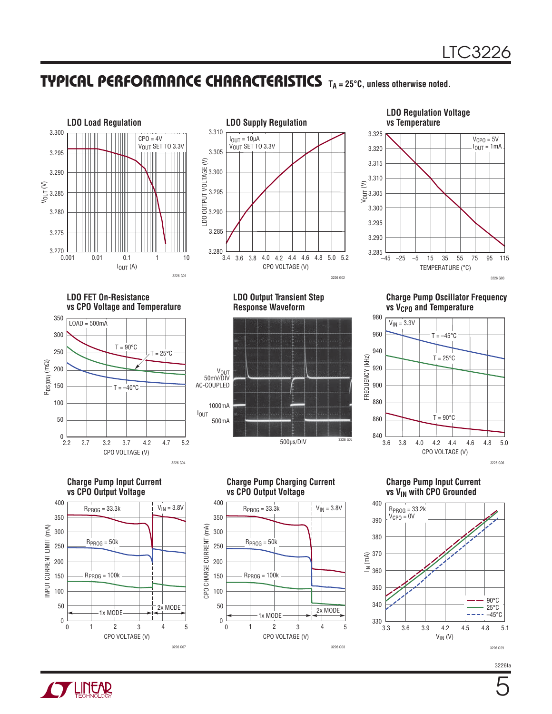### **TYPICAL PERFORMANCE CHARACTERISTICS TA = 25°C, unless otherwise noted.**





#### **LDO Regulation Voltage vs Temperature**



**LDO FET On-Resistance vs CPO Voltage and Temperature**



**LDO Output Transient Step Response Waveform**



**Charge Pump Oscillator Frequency vs V<sub>CPO</sub>** and Temperature



**Charge Pump Input Current vs VIN with CPO Grounded**



#### **Charge Pump Input Current vs CPO Output Voltage**



**Charge Pump Charging Current vs CPO Output Voltage**



3226fa

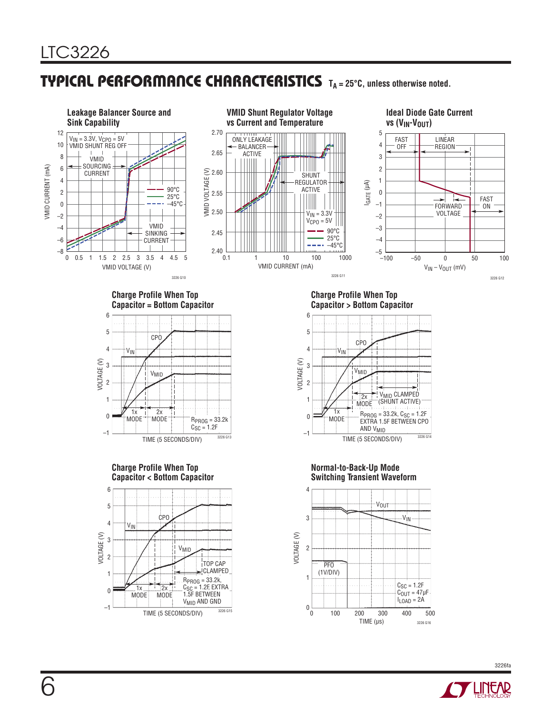### **TYPICAL PERFORMANCE CHARACTERISTICS TA = 25°C, unless otherwise noted.**



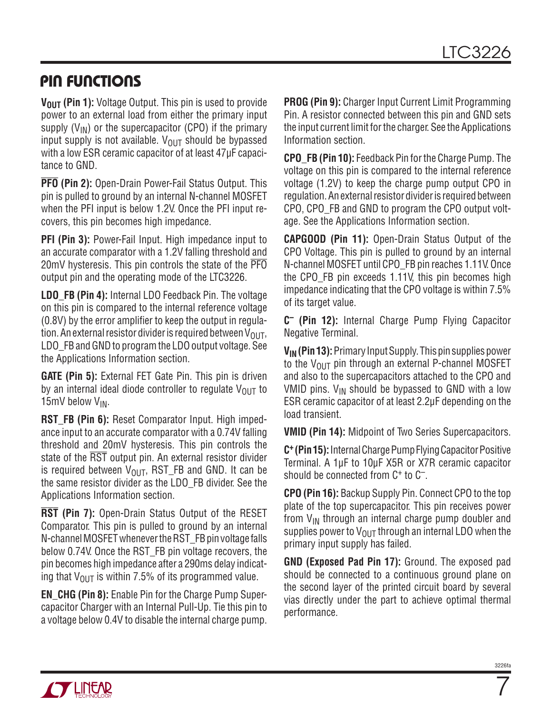### **PIN FUNCTIONS**

**V<sub>OUT</sub>** (Pin 1): Voltage Output. This pin is used to provide power to an external load from either the primary input supply  $(V_{IN})$  or the supercapacitor (CPO) if the primary input supply is not available.  $V_{\text{OUT}}$  should be bypassed with a low ESR ceramic capacitor of at least 47μF capacitance to GND.

**PFO (Pin 2):** Open-Drain Power-Fail Status Output. This pin is pulled to ground by an internal N-channel MOSFET when the PFI input is below 1.2V. Once the PFI input recovers, this pin becomes high impedance.

**PFI (Pin 3):** Power-Fail Input. High impedance input to an accurate comparator with a 1.2V falling threshold and 20mV hysteresis. This pin controls the state of the PFO output pin and the operating mode of the LTC3226.

**LDO\_FB (Pin 4):** Internal LDO Feedback Pin. The voltage on this pin is compared to the internal reference voltage (0.8V) by the error amplifier to keep the output in regulation. An external resistor divider is required between  $V_{\text{OUT}}$ , LDO\_FB and GND to program the LDO output voltage. See the Applications Information section.

**GATE (Pin 5):** External FET Gate Pin. This pin is driven by an internal ideal diode controller to regulate  $V_{OUT}$  to 15mV below V<sub>IN</sub>.

**RST\_FB (Pin 6):** Reset Comparator Input. High impedance input to an accurate comparator with a 0.74V falling threshold and 20mV hysteresis. This pin controls the state of the RST output pin. An external resistor divider is required between  $V_{\text{OUT}}$ , RST\_FB and GND. It can be the same resistor divider as the LDO\_FB divider. See the Applications Information section.

**RST (Pin 7):** Open-Drain Status Output of the RESET Comparator. This pin is pulled to ground by an internal N-channel MOSFET whenever the RST\_FB pin voltage falls below 0.74V. Once the RST\_FB pin voltage recovers, the pin becomes high impedance after a 290ms delay indicating that  $V_{\text{OUT}}$  is within 7.5% of its programmed value.

**EN\_CHG (Pin 8):** Enable Pin for the Charge Pump Supercapacitor Charger with an Internal Pull-Up. Tie this pin to a voltage below 0.4V to disable the internal charge pump. **PROG (Pin 9):** Charger Input Current Limit Programming Pin. A resistor connected between this pin and GND sets the input current limit for the charger. See the Applications Information section.

**CPO\_FB (Pin 10):** Feedback Pin for the Charge Pump. The voltage on this pin is compared to the internal reference voltage (1.2V) to keep the charge pump output CPO in regulation. An external resistor divider is required between CPO, CPO\_FB and GND to program the CPO output voltage. See the Applications Information section.

**CAPGOOD (Pin 11):** Open-Drain Status Output of the CPO Voltage. This pin is pulled to ground by an internal N-channel MOSFET until CPO\_FB pin reaches 1.11V. Once the CPO\_FB pin exceeds 1.11V, this pin becomes high impedance indicating that the CPO voltage is within 7.5% of its target value.

**C– (Pin 12):** Internal Charge Pump Flying Capacitor Negative Terminal.

**VIN (Pin 13):** Primary Input Supply. This pin supplies power to the  $V_{\text{OUT}}$  pin through an external P-channel MOSFET and also to the supercapacitors attached to the CPO and VMID pins.  $V_{IN}$  should be bypassed to GND with a low ESR ceramic capacitor of at least 2.2μF depending on the load transient.

**VMID (Pin 14):** Midpoint of Two Series Supercapacitors.

**C+ (Pin 15):** Internal Charge Pump Flying Capacitor Positive Terminal. A 1μF to 10μF X5R or X7R ceramic capacitor should be connected from  $C^+$  to  $C^-$ .

**CPO (Pin 16):** Backup Supply Pin. Connect CPO to the top plate of the top supercapacitor. This pin receives power from  $V_{IN}$  through an internal charge pump doubler and supplies power to  $V_{\text{OUT}}$  through an internal LDO when the primary input supply has failed.

**GND (Exposed Pad Pin 17):** Ground. The exposed pad should be connected to a continuous ground plane on the second layer of the printed circuit board by several vias directly under the part to achieve optimal thermal performance.



7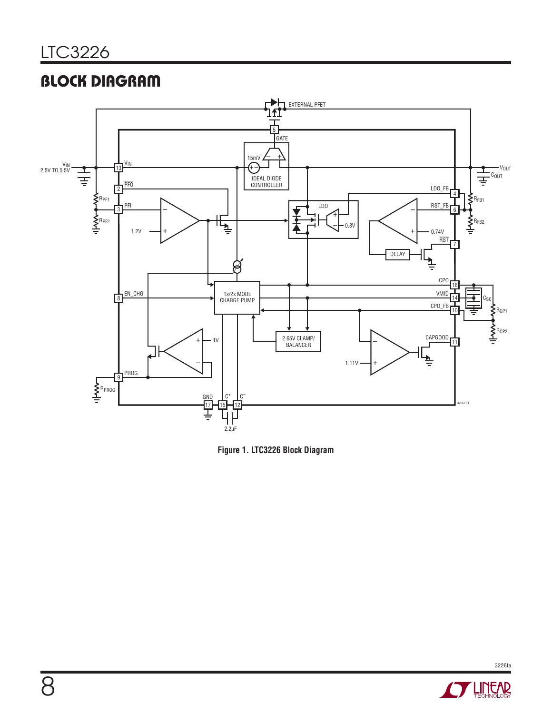# **BLOCK DIAGRAM**





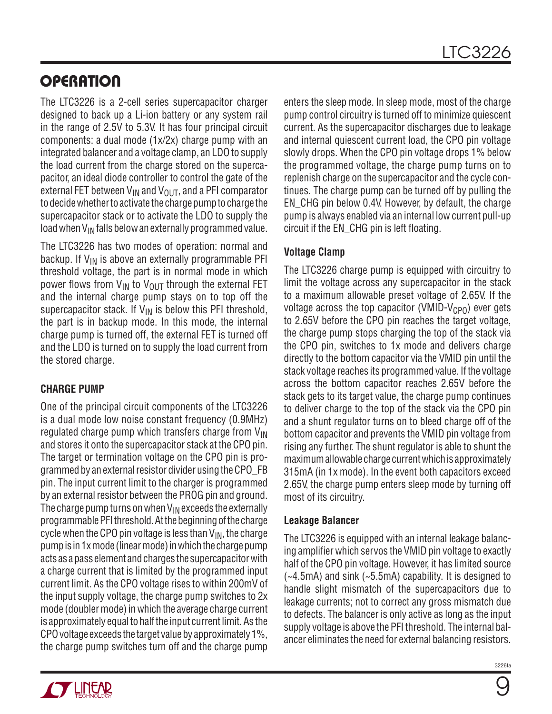# **OPERATION**

The LTC3226 is a 2-cell series supercapacitor charger designed to back up a Li-ion battery or any system rail in the range of 2.5V to 5.3V. It has four principal circuit components: a dual mode (1x/2x) charge pump with an integrated balancer and a voltage clamp, an LDO to supply the load current from the charge stored on the supercapacitor, an ideal diode controller to control the gate of the external FET between  $V_{IN}$  and  $V_{OUT}$ , and a PFI comparator to decide whether to activate the charge pump to charge the supercapacitor stack or to activate the LDO to supply the load when  $V_{IN}$  falls below an externally programmed value.

The LTC3226 has two modes of operation: normal and backup. If  $V_{IN}$  is above an externally programmable PFI threshold voltage, the part is in normal mode in which power flows from  $V_{IN}$  to  $V_{OIII}$  through the external FET and the internal charge pump stays on to top off the supercapacitor stack. If  $V_{IN}$  is below this PFI threshold, the part is in backup mode. In this mode, the internal charge pump is turned off, the external FET is turned off and the LDO is turned on to supply the load current from the stored charge.

#### **CHARGE PUMP**

One of the principal circuit components of the LTC3226 is a dual mode low noise constant frequency (0.9MHz) regulated charge pump which transfers charge from  $V_{\text{IN}}$ and stores it onto the supercapacitor stack at the CPO pin. The target or termination voltage on the CPO pin is programmed by an external resistor divider using the CPO\_FB pin. The input current limit to the charger is programmed by an external resistor between the PROG pin and ground. The charge pump turns on when  $V_{IN}$  exceeds the externally programmable PFI threshold. At the beginning of the charge cycle when the CPO pin voltage is less than  $V_{IN}$ , the charge pump is in 1x mode (linear mode) in which the charge pump acts as a pass element and charges the supercapacitor with a charge current that is limited by the programmed input current limit. As the CPO voltage rises to within 200mV of the input supply voltage, the charge pump switches to 2x mode (doubler mode) in which the average charge current is approximately equal to half the input current limit. As the CPO voltage exceeds the target value by approximately 1%, the charge pump switches turn off and the charge pump

enters the sleep mode. In sleep mode, most of the charge pump control circuitry is turned off to minimize quiescent current. As the supercapacitor discharges due to leakage and internal quiescent current load, the CPO pin voltage slowly drops. When the CPO pin voltage drops 1% below the programmed voltage, the charge pump turns on to replenish charge on the supercapacitor and the cycle continues. The charge pump can be turned off by pulling the EN\_CHG pin below 0.4V. However, by default, the charge pump is always enabled via an internal low current pull-up circuit if the EN\_CHG pin is left floating.

### **Voltage Clamp**

The LTC3226 charge pump is equipped with circuitry to limit the voltage across any supercapacitor in the stack to a maximum allowable preset voltage of 2.65V. If the voltage across the top capacitor (VMID-V<sub>CPO</sub>) ever gets to 2.65V before the CPO pin reaches the target voltage, the charge pump stops charging the top of the stack via the CPO pin, switches to 1x mode and delivers charge directly to the bottom capacitor via the VMID pin until the stack voltage reaches its programmed value. If the voltage across the bottom capacitor reaches 2.65V before the stack gets to its target value, the charge pump continues to deliver charge to the top of the stack via the CPO pin and a shunt regulator turns on to bleed charge off of the bottom capacitor and prevents the VMID pin voltage from rising any further. The shunt regulator is able to shunt the maximum allowable charge current which is approximately 315mA (in 1x mode). In the event both capacitors exceed 2.65V, the charge pump enters sleep mode by turning off most of its circuitry.

#### **Leakage Balancer**

The LTC3226 is equipped with an internal leakage balancing amplifier which servos the VMID pin voltage to exactly half of the CPO pin voltage. However, it has limited source (~4.5mA) and sink (~5.5mA) capability. It is designed to handle slight mismatch of the supercapacitors due to leakage currents; not to correct any gross mismatch due to defects. The balancer is only active as long as the input supply voltage is above the PFI threshold. The internal balancer eliminates the need for external balancing resistors.



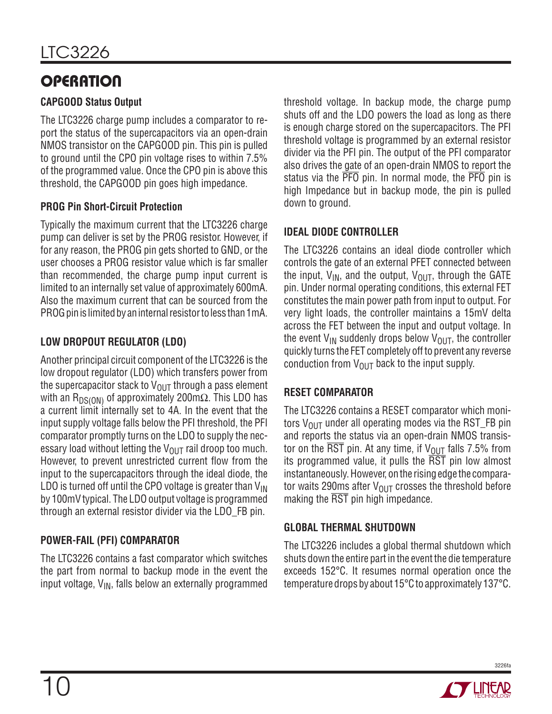# **OPERATION**

### **CAPGOOD Status Output**

The LTC3226 charge pump includes a comparator to report the status of the supercapacitors via an open-drain NMOS transistor on the CAPGOOD pin. This pin is pulled to ground until the CPO pin voltage rises to within 7.5% of the programmed value. Once the CPO pin is above this threshold, the CAPGOOD pin goes high impedance.

### **PROG Pin Short-Circuit Protection**

Typically the maximum current that the LTC3226 charge pump can deliver is set by the PROG resistor. However, if for any reason, the PROG pin gets shorted to GND, or the user chooses a PROG resistor value which is far smaller than recommended, the charge pump input current is limited to an internally set value of approximately 600mA. Also the maximum current that can be sourced from the PROG pin is limited by an internal resistor to less than 1mA.

### **LOW DROPOUT REGULATOR (LDO)**

Another principal circuit component of the LTC3226 is the low dropout regulator (LDO) which transfers power from the supercapacitor stack to  $V_{OUT}$  through a pass element with an R<sub>DS(ON)</sub> of approximately 200mΩ. This LDO has a current limit internally set to 4A. In the event that the input supply voltage falls below the PFI threshold, the PFI comparator promptly turns on the LDO to supply the necessary load without letting the  $V_{\text{OUT}}$  rail droop too much. However, to prevent unrestricted current flow from the input to the supercapacitors through the ideal diode, the LDO is turned off until the CPO voltage is greater than  $V_{\text{IN}}$ by 100mV typical. The LDO output voltage is programmed through an external resistor divider via the LDO\_FB pin.

### **POWER-FAIL (PFI) COMPARATOR**

The LTC3226 contains a fast comparator which switches the part from normal to backup mode in the event the input voltage,  $V_{IN}$ , falls below an externally programmed threshold voltage. In backup mode, the charge pump shuts off and the LDO powers the load as long as there is enough charge stored on the supercapacitors. The PFI threshold voltage is programmed by an external resistor divider via the PFI pin. The output of the PFI comparator also drives the gate of an open-drain NMOS to report the status via the PFO pin. In normal mode, the PFO pin is high Impedance but in backup mode, the pin is pulled down to ground.

### **IDEAL DIODE CONTROLLER**

The LTC3226 contains an ideal diode controller which controls the gate of an external PFET connected between the input,  $V_{IN}$ , and the output,  $V_{OUT}$ , through the GATE pin. Under normal operating conditions, this external FET constitutes the main power path from input to output. For very light loads, the controller maintains a 15mV delta across the FET between the input and output voltage. In the event  $V_{IN}$  suddenly drops below  $V_{OIII}$ , the controller quickly turns the FET completely off to prevent any reverse conduction from  $V_{\text{OUT}}$  back to the input supply.

### **RESET COMPARATOR**

The LTC3226 contains a RESET comparator which monitors  $V_{\text{OUT}}$  under all operating modes via the RST\_FB pin and reports the status via an open-drain NMOS transistor on the  $\overline{\text{RST}}$  pin. At any time, if  $V_{\text{OUT}}$  falls 7.5% from its programmed value, it pulls the  $\overline{RST}$  pin low almost instantaneously. However, on the rising edge the comparator waits 290ms after  $V_{\text{OUT}}$  crosses the threshold before making the RST pin high impedance.

#### **GLOBAL THERMAL SHUTDOWN**

The LTC3226 includes a global thermal shutdown which shuts down the entire part in the event the die temperature exceeds 152°C. It resumes normal operation once the temperature drops by about 15°C to approximately 137°C.

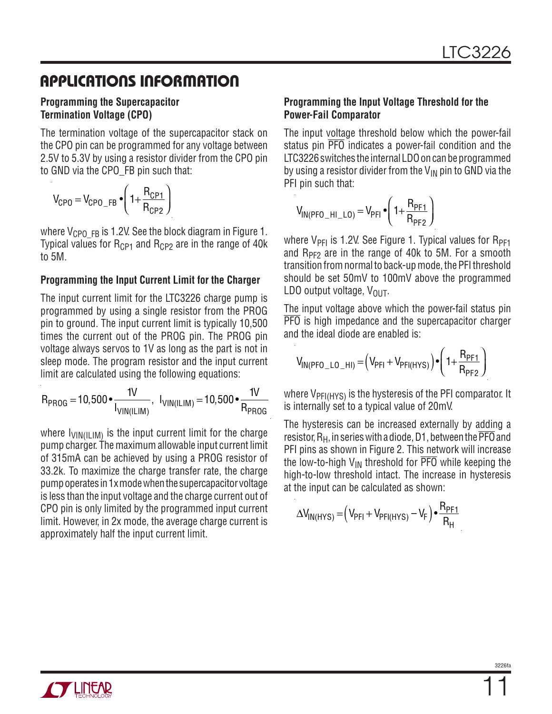### **APPLICATIONS INFORMATION**

#### **Programming the Supercapacitor Termination Voltage (CPO)**

The termination voltage of the supercapacitor stack on the CPO pin can be programmed for any voltage between 2.5V to 5.3V by using a resistor divider from the CPO pin to GND via the CPO\_FB pin such that:

$$
V_{\text{CPO}} = V_{\text{CPO\_FB}} \cdot \left(1 + \frac{R_{\text{CPI}}}{R_{\text{CPI}}}\right)
$$

where  $V_{\text{CPO-FB}}$  is 1.2V. See the block diagram in Figure 1. Typical values for  $R_{CP1}$  and  $R_{CP2}$  are in the range of 40k to 5M.

#### **Programming the Input Current Limit for the Charger**

The input current limit for the LTC3226 charge pump is programmed by using a single resistor from the PROG pin to ground. The input current limit is typically 10,500 times the current out of the PROG pin. The PROG pin voltage always servos to 1V as long as the part is not in sleep mode. The program resistor and the input current limit are calculated using the following equations:

$$
R_{PROG}=10,500\bullet \frac{1V}{I_{VIN(ILIM)}},\;\; I_{VIN(ILIM)}=10,500\bullet \frac{1V}{R_{PROG}}
$$

where  $I_{VIN(ILIM)}$  is the input current limit for the charge pump charger. The maximum allowable input current limit of 315mA can be achieved by using a PROG resistor of 33.2k. To maximize the charge transfer rate, the charge pump operates in 1x mode when the supercapacitor voltage is less than the input voltage and the charge current out of CPO pin is only limited by the programmed input current limit. However, in 2x mode, the average charge current is approximately half the input current limit.

#### **Programming the Input Voltage Threshold for the Power-Fail Comparator**

The input voltage threshold below which the power-fail status pin PFO indicates a power-fail condition and the LTC3226 switches the internal LDO on can be programmed by using a resistor divider from the  $V_{IN}$  pin to GND via the PFI pin such that:

$$
V_{IN(PPO_HI_{LO})} = V_{PFI} \cdot \left(1 + \frac{R_{PF1}}{R_{PF2}}\right)
$$

where  $V_{\text{PF1}}$  is 1.2V. See Figure 1. Typical values for  $R_{\text{PF1}}$ and  $R_{PF2}$  are in the range of 40k to 5M. For a smooth transition from normal to back-up mode, the PFI threshold should be set 50mV to 100mV above the programmed LDO output voltage,  $V_{\text{OUT}}$ .

The input voltage above which the power-fail status pin PFO is high impedance and the supercapacitor charger and the ideal diode are enabled is:

$$
V_{IN(PPO_LLO_HI)} = (V_{PFI} + V_{PFI(HYS)}) \cdot \left(1 + \frac{R_{PF1}}{R_{PF2}}\right)
$$

where  $V_{\text{PFI(HYS)}}$  is the hysteresis of the PFI comparator. It is internally set to a typical value of 20mV.

The hysteresis can be increased externally by adding a resistor,  $R_H$ , in series with a diode, D1, between the  $\overline{PFO}$  and PFI pins as shown in Figure 2. This network will increase the low-to-high  $V_{IN}$  threshold for  $\overline{PFO}$  while keeping the high-to-low threshold intact. The increase in hysteresis at the input can be calculated as shown:

$$
\Delta V_{IN(HYS)} = (V_{PFI} + V_{PFI(HYS)} - V_F) \bullet \frac{R_{PF1}}{R_H}
$$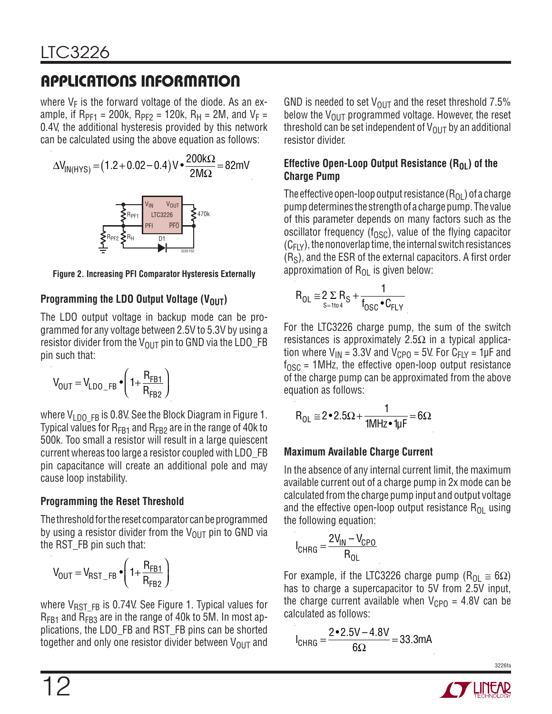# **APPLICATIONS INFORMATION**

where  $V_F$  is the forward voltage of the diode. As an example, if R<sub>PF1</sub> = 200k, R<sub>PF2</sub> = 120k, R<sub>H</sub> = 2M, and V<sub>F</sub> = 0.4V, the additional hysteresis provided by this network can be calculated using the above equation as follows:

$$
\Delta V_{IN(HYS)} = (1.2 + 0.02 - 0.4) V \cdot \frac{200 k\Omega}{2M\Omega} = 82 mV
$$

**Figure 2. Increasing PFI Comparator Hysteresis Externally**

#### **Programming the LDO Output Voltage (V<sub>OUT</sub>)**

The LDO output voltage in backup mode can be programmed for any voltage between 2.5V to 5.3V by using a resistor divider from the  $V_{\text{OUT}}$  pin to GND via the LDO\_FB pin such that:

$$
V_{OUT} = V_{LDO\_FB} \cdot \left(1 + \frac{R_{FB1}}{R_{FB2}}\right)
$$

where  $V_{LDO-FB}$  is 0.8V. See the Block Diagram in Figure 1. Typical values for  $R_{FB1}$  and  $R_{FB2}$  are in the range of 40k to 500k. Too small a resistor will result in a large quiescent current whereas too large a resistor coupled with LDO\_FB pin capacitance will create an additional pole and may cause loop instability.

### **Programming the Reset Threshold**

The threshold for the reset comparator can be programmed by using a resistor divider from the  $V_{\text{OUT}}$  pin to GND via the RST\_FB pin such that:

$$
V_{OUT} = V_{RST\_FB} \cdot \left(1 + \frac{R_{FB1}}{R_{FB2}}\right)
$$

where  $V_{RSTFB}$  is 0.74V. See Figure 1. Typical values for  $R_{FB1}$  and  $R_{FB3}$  are in the range of 40k to 5M. In most applications, the LDO\_FB and RST\_FB pins can be shorted together and only one resistor divider between  $V_{\text{OUT}}$  and GND is needed to set  $V_{\text{OUT}}$  and the reset threshold 7.5% below the  $V_{\text{OUT}}$  programmed voltage. However, the reset threshold can be set independent of  $V_{\text{OUT}}$  by an additional resistor divider.

#### **Effective Open-Loop Output Resistance (R<sub>OL</sub>) of the Charge Pump**

The effective open-loop output resistance  $(R_{OL})$  of a charge pump determines the strength of a charge pump. The value of this parameter depends on many factors such as the oscillator frequency ( $f<sub>OSC</sub>$ ), value of the flying capacitor  $(C_{FLY})$ , the nonoverlap time, the internal switch resistances  $(R<sub>S</sub>)$ , and the ESR of the external capacitors. A first order approximation of  $R_{\Omega}$  is given below:

$$
R_{OL} \cong 2\Sigma R_S + \frac{1}{f_{OSC} \cdot C_{FLY}}
$$

For the LTC3226 charge pump, the sum of the switch resistances is approximately 2.5 $\Omega$  in a typical application where  $V_{IN}$  = 3.3V and  $V_{CPO}$  = 5V. For  $C_{FIV}$  = 1µF and  $f_{\text{OSC}}$  = 1MHz, the effective open-loop output resistance of the charge pump can be approximated from the above equation as follows:

$$
R_{OL} \cong 2 \bullet 2.5 \Omega + \frac{1}{1 MHz \bullet 1 \mu F} = 6 \Omega
$$

### **Maximum Available Charge Current**

In the absence of any internal current limit, the maximum available current out of a charge pump in 2x mode can be calculated from the charge pump input and output voltage and the effective open-loop output resistance  $R_{01}$  using the following equation:

$$
I_{CHRG} = \frac{2V_{IN} - V_{CPO}}{R_{OL}}
$$

For example, if the LTC3226 charge pump (R<sub>OL</sub>  $\cong$  6 $\Omega$ ) has to charge a supercapacitor to 5V from 2.5V input, the charge current available when  $V_{CPO} = 4.8V$  can be calculated as follows:

$$
I_{CHRG} = \frac{2 \cdot 2.5V - 4.8V}{6\Omega} = 33.3mA
$$

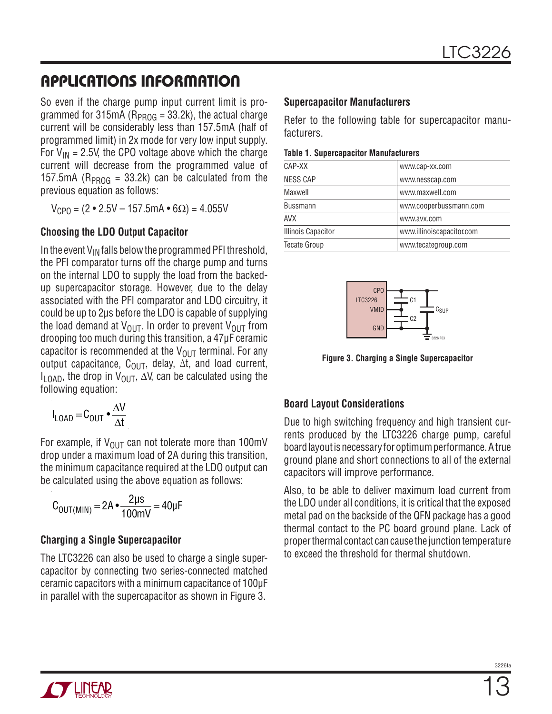### **APPLICATIONS INFORMATION**

So even if the charge pump input current limit is programmed for 315mA ( $R_{PROG}$  = 33.2k), the actual charge current will be considerably less than 157.5mA (half of programmed limit) in 2x mode for very low input supply. For  $V_{IN}$  = 2.5V, the CPO voltage above which the charge current will decrease from the programmed value of 157.5mA ( $R_{PROG}$  = 33.2k) can be calculated from the previous equation as follows:

 $V_{CPO} = (2 \cdot 2.5V - 157.5mA \cdot 6\Omega) = 4.055V$ 

#### **Choosing the LDO Output Capacitor**

In the event  $V_{IN}$  falls below the programmed PFI threshold, the PFI comparator turns off the charge pump and turns on the internal LDO to supply the load from the backedup supercapacitor storage. However, due to the delay associated with the PFI comparator and LDO circuitry, it could be up to 2μs before the LDO is capable of supplying the load demand at  $V_{\text{OUT}}$ . In order to prevent  $V_{\text{OUT}}$  from drooping too much during this transition, a 47μF ceramic capacitor is recommended at the  $V_{OUT}$  terminal. For any output capacitance,  $C_{\text{OUT}}$ , delay,  $\Delta t$ , and load current, I<sub>LOAD</sub>, the drop in V<sub>OUT</sub>,  $\Delta V$ , can be calculated using the following equation:

$$
I_{\text{LOAD}} = C_{\text{OUT}} \cdot \frac{\Delta V}{\Delta t}
$$

For example, if  $V_{OUT}$  can not tolerate more than 100mV drop under a maximum load of 2A during this transition, the minimum capacitance required at the LDO output can be calculated using the above equation as follows:

$$
C_{OUT(MIN)} = 2A \cdot \frac{2\mu s}{100mV} = 40\mu F
$$

#### **Charging a Single Supercapacitor**

The LTC3226 can also be used to charge a single supercapacitor by connecting two series-connected matched ceramic capacitors with a minimum capacitance of 100μF in parallel with the supercapacitor as shown in Figure 3.

#### **Supercapacitor Manufacturers**

Refer to the following table for supercapacitor manufacturers.

#### **Table 1. Supercapacitor Manufacturers**

| CAP-XX                    | www.cap-xx.com            |
|---------------------------|---------------------------|
| <b>NESS CAP</b>           | www.nesscap.com           |
| Maxwell                   | www.maxwell.com           |
| <b>Bussmann</b>           | www.cooperbussmann.com    |
| <b>AVX</b>                | www.avx.com               |
| <b>Illinois Capacitor</b> | www.illinoiscapacitor.com |
| <b>Tecate Group</b>       | www.tecategroup.com       |



**Figure 3. Charging a Single Supercapacitor**

#### **Board Layout Considerations**

Due to high switching frequency and high transient currents produced by the LTC3226 charge pump, careful board layout is necessary for optimum performance. A true ground plane and short connections to all of the external capacitors will improve performance.

Also, to be able to deliver maximum load current from the LDO under all conditions, it is critical that the exposed metal pad on the backside of the QFN package has a good thermal contact to the PC board ground plane. Lack of proper thermal contact can cause the junction temperature to exceed the threshold for thermal shutdown.

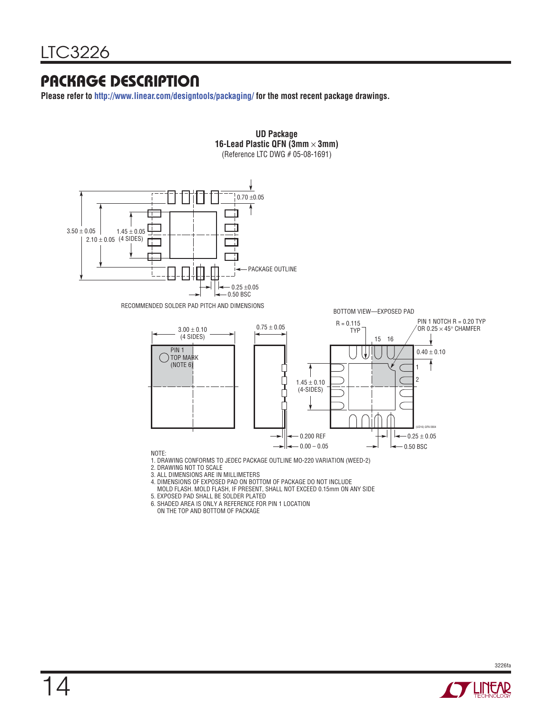### **PACKAGE DESCRIPTION**

**Please refer to http://www.linear.com/designtools/packaging/ for the most recent package drawings.**



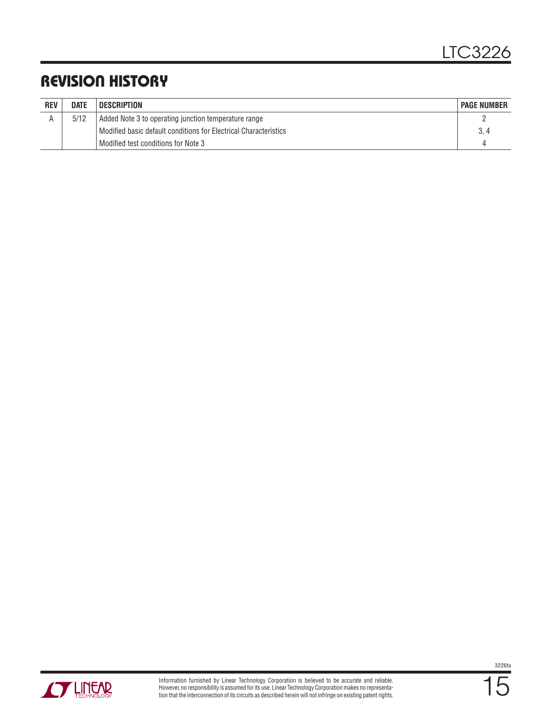### **REVISION HISTORY**

| <b>REV</b> | <b>DATE</b> | <b>DESCRIPTION</b>                                               | <b>PAGE NUMBER</b> |
|------------|-------------|------------------------------------------------------------------|--------------------|
|            | 5/12        | Added Note 3 to operating junction temperature range             |                    |
|            |             | Modified basic default conditions for Electrical Characteristics |                    |
|            |             | Modified test conditions for Note 3                              | ↵                  |